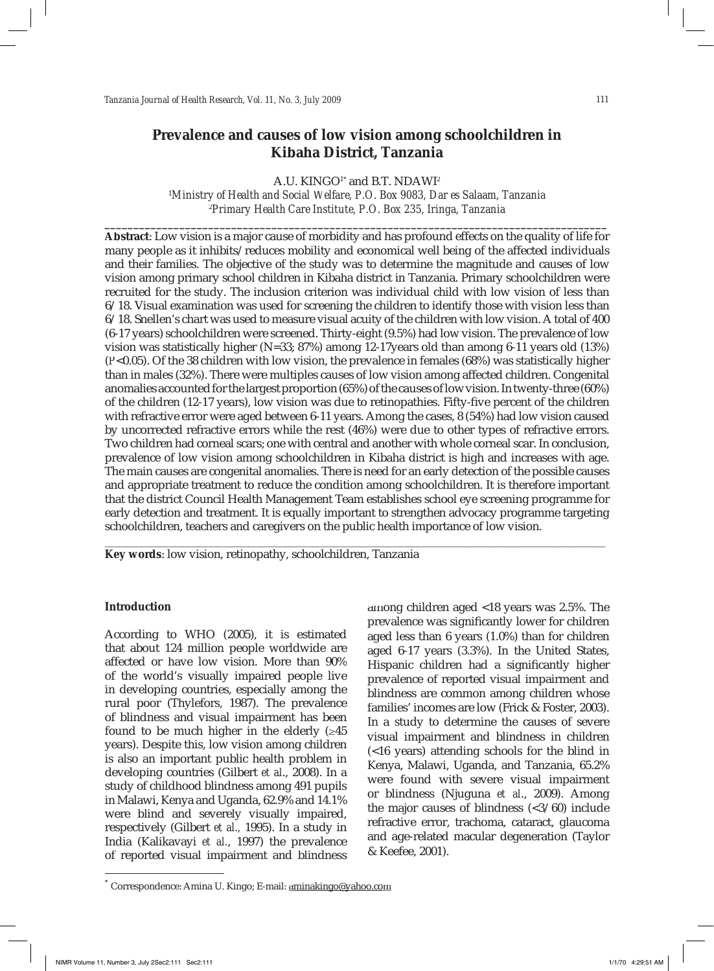# **Prevalence and causes of low vision among schoolchildren in Kibaha District, Tanzania**

A.U. KINGO<sup>1\*</sup> and B.T. NDAWI<sup>2</sup> 1 *Ministry of Health and Social Welfare, P.O. Box 9083, Dar es Salaam, Tanzania* 2 *Primary Health Care Institute, P.O. Box 235, Iringa, Tanzania*

**\_\_\_\_\_\_\_\_\_\_\_\_\_\_\_\_\_\_\_\_\_\_\_\_\_\_\_\_\_\_\_\_\_\_\_\_\_\_\_\_\_\_\_\_\_\_\_\_\_\_\_\_\_\_\_\_\_\_\_\_\_\_\_\_\_\_\_\_\_\_\_\_\_\_\_\_\_\_\_\_\_\_\_\_\_\_\_**

**Abstract**: Low vision is a major cause of morbidity and has profound effects on the quality of life for many people as it inhibits/reduces mobility and economical well being of the affected individuals and their families. The objective of the study was to determine the magnitude and causes of low vision among primary school children in Kibaha district in Tanzania. Primary schoolchildren were recruited for the study. The inclusion criterion was individual child with low vision of less than 6/18. Visual examination was used for screening the children to identify those with vision less than 6/18. Snellen's chart was used to measure visual acuity of the children with low vision. A total of 400 (6-17 years) schoolchildren were screened. Thirty-eight (9.5%) had low vision. The prevalence of low vision was statistically higher (N=33; 87%) among 12-17years old than among 6-11 years old (13%) (*P*<0.05). Of the 38 children with low vision, the prevalence in females (68%) was statistically higher than in males (32%). There were multiples causes of low vision among affected children. Congenital anomalies accounted for the largest proportion (65%) of the causes of low vision. In twenty-three (60%) of the children (12-17 years), low vision was due to retinopathies. Fifty-five percent of the children with refractive error were aged between 6-11 years. Among the cases, 8 (54%) had low vision caused by uncorrected refractive errors while the rest (46%) were due to other types of refractive errors. Two children had corneal scars; one with central and another with whole corneal scar. In conclusion, prevalence of low vision among schoolchildren in Kibaha district is high and increases with age. The main causes are congenital anomalies. There is need for an early detection of the possible causes and appropriate treatment to reduce the condition among schoolchildren. It is therefore important that the district Council Health Management Team establishes school eye screening programme for early detection and treatment. It is equally important to strengthen advocacy programme targeting schoolchildren, teachers and caregivers on the public health importance of low vision.

\_\_\_\_\_\_\_\_\_\_\_\_\_\_\_\_\_\_\_\_\_\_\_\_\_\_\_\_\_\_\_\_\_\_\_\_\_\_\_\_\_\_\_\_\_\_\_\_\_\_\_\_\_\_\_\_\_\_\_\_\_\_\_\_\_\_\_\_\_\_\_\_\_\_\_\_\_\_\_\_\_\_\_\_\_\_\_

**Key words**: low vision, retinopathy, schoolchildren, Tanzania

#### **Introduction**

According to WHO (2005), it is estimated that about 124 million people worldwide are affected or have low vision. More than 90% of the world's visually impaired people live in developing countries, especially among the rural poor (Thylefors, 1987). The prevalence of blindness and visual impairment has been found to be much higher in the elderly  $(245)$ years). Despite this, low vision among children is also an important public health problem in developing countries (Gilbert *et al*., 2008). In a study of childhood blindness among 491 pupils in Malawi, Kenya and Uganda, 62.9% and 14.1% were blind and severely visually impaired, respectively (Gilbert *et al.,* 1995). In a study in India (Kalikavayi *et al.*, 1997) the prevalence of reported visual impairment and blindness

among children aged <18 years was 2.5%. The prevalence was significantly lower for children aged less than 6 years (1.0%) than for children aged 6-17 years (3.3%). In the United States, Hispanic children had a significantly higher prevalence of reported visual impairment and blindness are common among children whose families' incomes are low (Frick & Foster, 2003). In a study to determine the causes of severe visual impairment and blindness in children (<16 years) attending schools for the blind in Kenya, Malawi, Uganda, and Tanzania, 65.2% were found with severe visual impairment or blindness (Njuguna *et al*., 2009). Among the major causes of blindness  $\left( \frac{3}{60} \right)$  include refractive error, trachoma, cataract, glaucoma and age-related macular degeneration (Taylor & Keefee, 2001).

Correspondence: Amina U. Kingo; E-mail: aminakingo@yahoo.com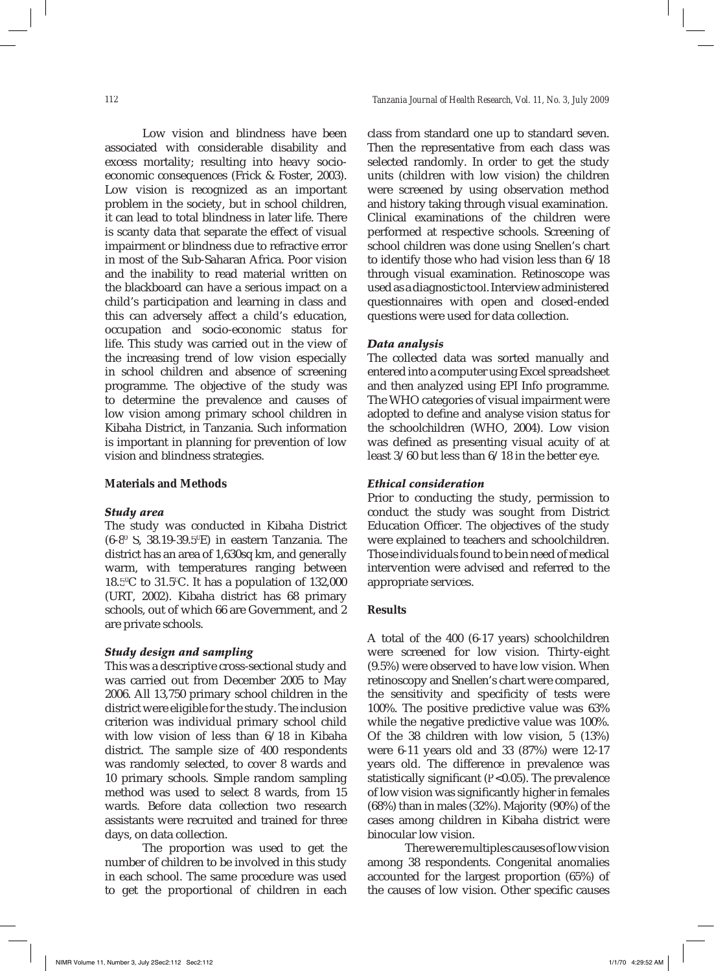Low vision and blindness have been associated with considerable disability and excess mortality; resulting into heavy socioeconomic consequences (Frick & Foster, 2003). Low vision is recognized as an important problem in the society, but in school children, it can lead to total blindness in later life. There is scanty data that separate the effect of visual impairment or blindness due to refractive error in most of the Sub-Saharan Africa. Poor vision and the inability to read material written on the blackboard can have a serious impact on a child's participation and learning in class and this can adversely affect a child's education, occupation and socio-economic status for life. This study was carried out in the view of the increasing trend of low vision especially in school children and absence of screening programme. The objective of the study was to determine the prevalence and causes of low vision among primary school children in Kibaha District, in Tanzania. Such information is important in planning for prevention of low vision and blindness strategies.

# **Materials and Methods**

#### *Study area*

The study was conducted in Kibaha District  $(6-8^{\circ} \text{ S}, 38.19-39.5^{\circ} \text{E})$  in eastern Tanzania. The district has an area of 1,630sq km, and generally warm, with temperatures ranging between 18.5 $\rm{^{\circ}C}$  to 31.5 $\rm{^{\circ}C}$ . It has a population of 132,000 (URT, 2002). Kibaha district has 68 primary schools, out of which 66 are Government, and 2 are private schools.

# *Study design and sampling*

This was a descriptive cross-sectional study and was carried out from December 2005 to May 2006. All 13,750 primary school children in the district were eligible for the study. The inclusion criterion was individual primary school child with low vision of less than 6/18 in Kibaha district. The sample size of 400 respondents was randomly selected, to cover 8 wards and 10 primary schools. Simple random sampling method was used to select 8 wards, from 15 wards. Before data collection two research assistants were recruited and trained for three days, on data collection.

 The proportion was used to get the number of children to be involved in this study in each school. The same procedure was used to get the proportional of children in each class from standard one up to standard seven. Then the representative from each class was selected randomly. In order to get the study units (children with low vision) the children were screened by using observation method and history taking through visual examination. Clinical examinations of the children were performed at respective schools. Screening of school children was done using Snellen's chart to identify those who had vision less than 6/18 through visual examination. Retinoscope was used as a diagnostic tool. Interview administered questionnaires with open and closed-ended questions were used for data collection.

### *Data analysis*

The collected data was sorted manually and entered into a computer using Excel spreadsheet and then analyzed using EPI Info programme. The WHO categories of visual impairment were adopted to define and analyse vision status for the schoolchildren (WHO, 2004). Low vision was defined as presenting visual acuity of at least 3/60 but less than 6/18 in the better eye.

## *Ethical consideration*

Prior to conducting the study, permission to conduct the study was sought from District Education Officer. The objectives of the study were explained to teachers and schoolchildren. Those individuals found to be in need of medical intervention were advised and referred to the appropriate services.

#### **Results**

A total of the 400 (6-17 years) schoolchildren were screened for low vision. Thirty-eight (9.5%) were observed to have low vision. When retinoscopy and Snellen's chart were compared, the sensitivity and specificity of tests were 100%. The positive predictive value was 63% while the negative predictive value was 100%. Of the 38 children with low vision, 5 (13%) were 6-11 years old and 33 (87%) were 12-17 years old. The difference in prevalence was statistically significant  $(F<0.05)$ . The prevalence of low vision was significantly higher in females (68%) than in males (32%). Majority (90%) of the cases among children in Kibaha district were binocular low vision.

 There were multiples causes of low vision among 38 respondents. Congenital anomalies accounted for the largest proportion (65%) of the causes of low vision. Other specific causes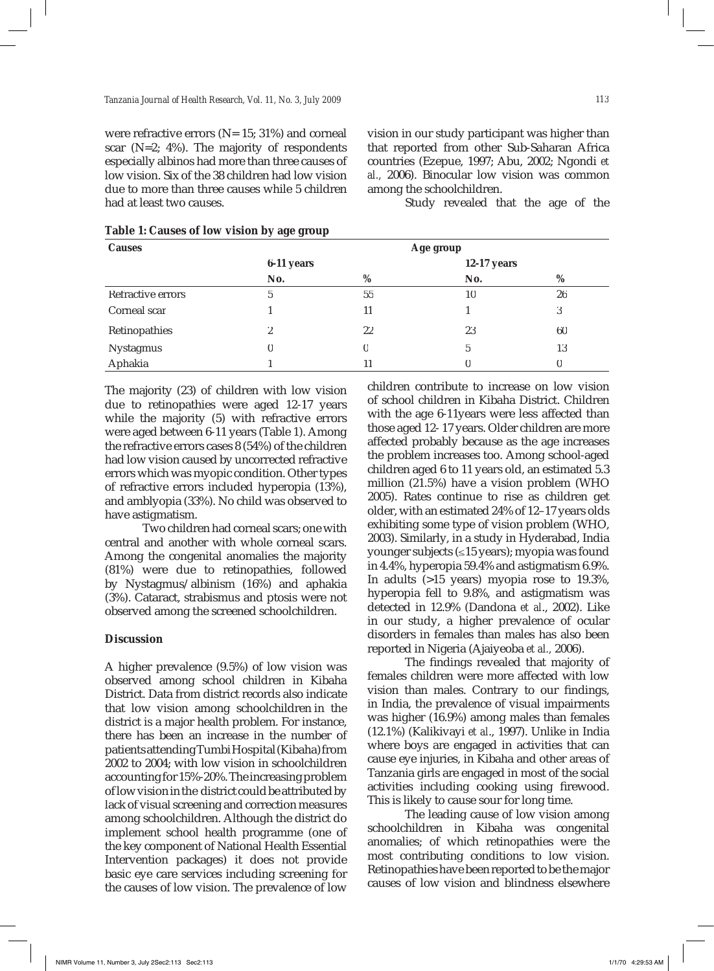were refractive errors  $(N= 15; 31%)$  and corneal scar  $(N=2; 4\%)$ . The majority of respondents especially albinos had more than three causes of low vision. Six of the 38 children had low vision due to more than three causes while 5 children had at least two causes.

vision in our study participant was higher than that reported from other Sub-Saharan Africa countries (Ezepue, 1997; Abu, 2002; Ngondi *et al.,* 2006). Binocular low vision was common among the schoolchildren.

Study revealed that the age of the

| <b>Causes</b>     | Age group  |              |             |    |
|-------------------|------------|--------------|-------------|----|
|                   | 6-11 years |              | 12-17 years |    |
|                   | No.        | %            | No.         | %  |
| Refractive errors | 5          | 55           | 10          | 26 |
| Corneal scar      |            | 11           |             | 3  |
| Retinopathies     | 2          | 22           | 23          | 60 |
| Nystagmus         | 0          | $\mathbf{0}$ | 5           | 13 |
| Aphakia           |            |              |             | 0  |

# **Table 1: Causes of low vision by age group**

The majority (23) of children with low vision due to retinopathies were aged 12-17 years while the majority (5) with refractive errors were aged between 6-11 years (Table 1). Among the refractive errors cases 8 (54%) of the children had low vision caused by uncorrected refractive errors which was myopic condition. Other types of refractive errors included hyperopia (13%), and amblyopia (33%). No child was observed to have astigmatism.

 Two children had corneal scars; one with central and another with whole corneal scars. Among the congenital anomalies the majority (81%) were due to retinopathies, followed by Nystagmus/albinism (16%) and aphakia (3%). Cataract, strabismus and ptosis were not observed among the screened schoolchildren.

#### **Discussion**

A higher prevalence (9.5%) of low vision was observed among school children in Kibaha District. Data from district records also indicate that low vision among schoolchildren in the district is a major health problem. For instance, there has been an increase in the number of patients attending Tumbi Hospital (Kibaha) from 2002 to 2004; with low vision in schoolchildren accounting for 15%-20%. The increasing problem of low vision in the district could be attributed by lack of visual screening and correction measures among schoolchildren. Although the district do implement school health programme (one of the key component of National Health Essential Intervention packages) it does not provide basic eye care services including screening for the causes of low vision. The prevalence of low

children contribute to increase on low vision of school children in Kibaha District. Children with the age 6-11years were less affected than those aged 12- 17 years. Older children are more affected probably because as the age increases the problem increases too. Among school-aged children aged 6 to 11 years old, an estimated 5.3 million (21.5%) have a vision problem (WHO 2005). Rates continue to rise as children get older, with an estimated 24% of 12–17 years olds exhibiting some type of vision problem (WHO, 2003). Similarly, in a study in Hyderabad, India younger subjects  $(\leq 15$  years); myopia was found in 4.4%, hyperopia 59.4% and astigmatism 6.9%. In adults (>15 years) myopia rose to 19.3%, hyperopia fell to 9.8%, and astigmatism was detected in 12.9% (Dandona *et al*., 2002). Like in our study, a higher prevalence of ocular disorders in females than males has also been reported in Nigeria (Ajaiyeoba *et al.,* 2006).

The findings revealed that majority of females children were more affected with low vision than males. Contrary to our findings, in India, the prevalence of visual impairments was higher (16.9%) among males than females (12.1%) (Kalikivayi *et al*., 1997). Unlike in India where boys are engaged in activities that can cause eye injuries, in Kibaha and other areas of Tanzania girls are engaged in most of the social activities including cooking using firewood. This is likely to cause sour for long time.

The leading cause of low vision among schoolchildren in Kibaha was congenital anomalies; of which retinopathies were the most contributing conditions to low vision. Retinopathies have been reported to be the major causes of low vision and blindness elsewhere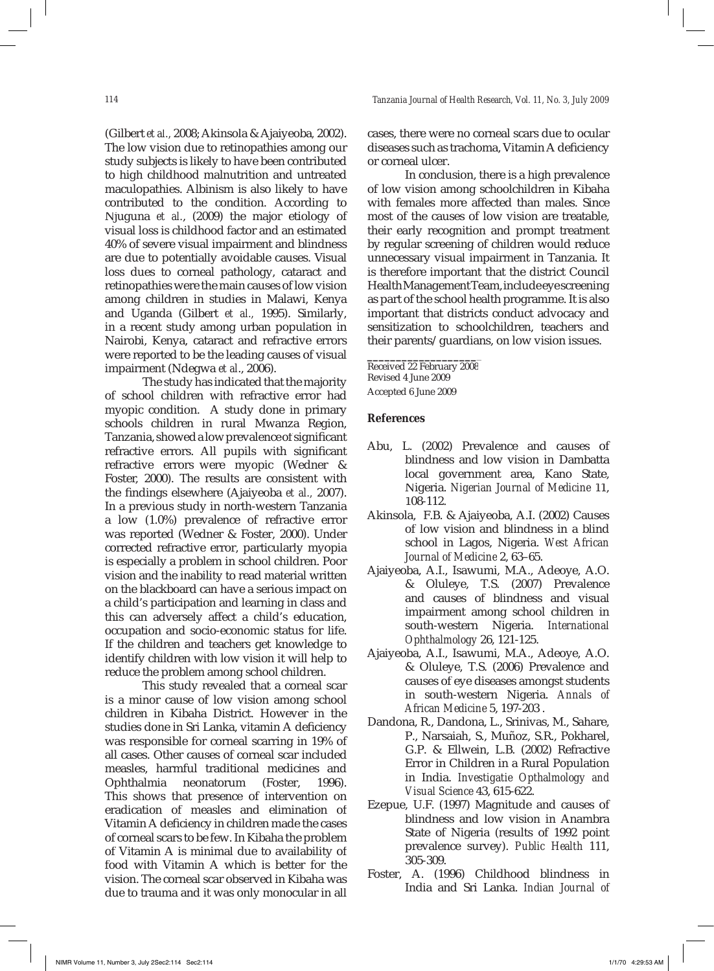(Gilbert *et al.,* 2008; Akinsola & Ajaiyeoba*,* 2002). The low vision due to retinopathies among our study subjects is likely to have been contributed to high childhood malnutrition and untreated maculopathies. Albinism is also likely to have contributed to the condition. According to Njuguna *et al.*, (2009) the major etiology of visual loss is childhood factor and an estimated 40% of severe visual impairment and blindness are due to potentially avoidable causes. Visual loss dues to corneal pathology, cataract and retinopathies were the main causes of low vision among children in studies in Malawi, Kenya and Uganda (Gilbert *et al.,* 1995). Similarly, in a recent study among urban population in Nairobi, Kenya, cataract and refractive errors were reported to be the leading causes of visual impairment (Ndegwa *et al*., 2006).

 The study has indicated that the majority of school children with refractive error had myopic condition. A study done in primary schools children in rural Mwanza Region, Tanzania, showed a low prevalence of significant refractive errors. All pupils with significant refractive errors were myopic (Wedner & Foster, 2000). The results are consistent with the findings elsewhere (Ajaiyeoba *et al.*, 2007). In a previous study in north-western Tanzania a low (1.0%) prevalence of refractive error was reported (Wedner & Foster, 2000). Under corrected refractive error, particularly myopia is especially a problem in school children. Poor vision and the inability to read material written on the blackboard can have a serious impact on a child's participation and learning in class and this can adversely affect a child's education, occupation and socio-economic status for life. If the children and teachers get knowledge to identify children with low vision it will help to reduce the problem among school children.

This study revealed that a corneal scar is a minor cause of low vision among school children in Kibaha District. However in the studies done in Sri Lanka, vitamin A deficiency was responsible for corneal scarring in 19% of all cases. Other causes of corneal scar included measles, harmful traditional medicines and Ophthalmia neonatorum (Foster, 1996). This shows that presence of intervention on eradication of measles and elimination of Vitamin A deficiency in children made the cases of corneal scars to be few. In Kibaha the problem of Vitamin A is minimal due to availability of food with Vitamin A which is better for the vision. The corneal scar observed in Kibaha was due to trauma and it was only monocular in all

cases, there were no corneal scars due to ocular diseases such as trachoma, Vitamin A deficiency or corneal ulcer.

In conclusion, there is a high prevalence of low vision among schoolchildren in Kibaha with females more affected than males. Since most of the causes of low vision are treatable, their early recognition and prompt treatment by regular screening of children would reduce unnecessary visual impairment in Tanzania. It is therefore important that the district Council Health Management Team, include eye screening as part of the school health programme. It is also important that districts conduct advocacy and sensitization to schoolchildren, teachers and their parents/guardians, on low vision issues.

**\_\_\_\_\_\_\_\_\_\_\_\_\_\_\_\_\_\_\_\_** Received 22 February 2008 Revised 4 June 2009 Accepted 6 June 2009

# **References**

- Abu, L. (2002) Prevalence and causes of blindness and low vision in Dambatta local government area, Kano State, Nigeria. *Nigerian Journal of Medicine* 11, 108-112.
- Akinsola, F.B. & Ajaiyeoba, A.I. (2002) Causes of low vision and blindness in a blind school in Lagos, Nigeria. *West African Journal of Medicine* 2, 63–65.
- Ajaiyeoba, A.I., Isawumi, M.A., Adeoye, A.O. & Oluleye, T.S. (2007) Prevalence and causes of blindness and visual impairment among school children in south-western Nigeria. *International Ophthalmology* 26, 121-125.
- Ajaiyeoba, A.I., Isawumi, M.A., Adeoye, A.O. & Oluleye, T.S. (2006) Prevalence and causes of eye diseases amongst students in south-western Nigeria. *Annals of African Medicine* 5, 197-203 .
- Dandona, R., Dandona, L., Srinivas, M., Sahare, P., Narsaiah, S., Muñoz, S.R., Pokharel, G.P. & Ellwein, L.B. (2002) Refractive Error in Children in a Rural Population in India. *Investigatie Opthalmology and Visual Science* 43, 615-622.
- Ezepue, U.F. (1997) Magnitude and causes of blindness and low vision in Anambra State of Nigeria (results of 1992 point prevalence survey). *Public Health* 111, 305-309.
- Foster, A. (1996) Childhood blindness in India and Sri Lanka. *Indian Journal of*